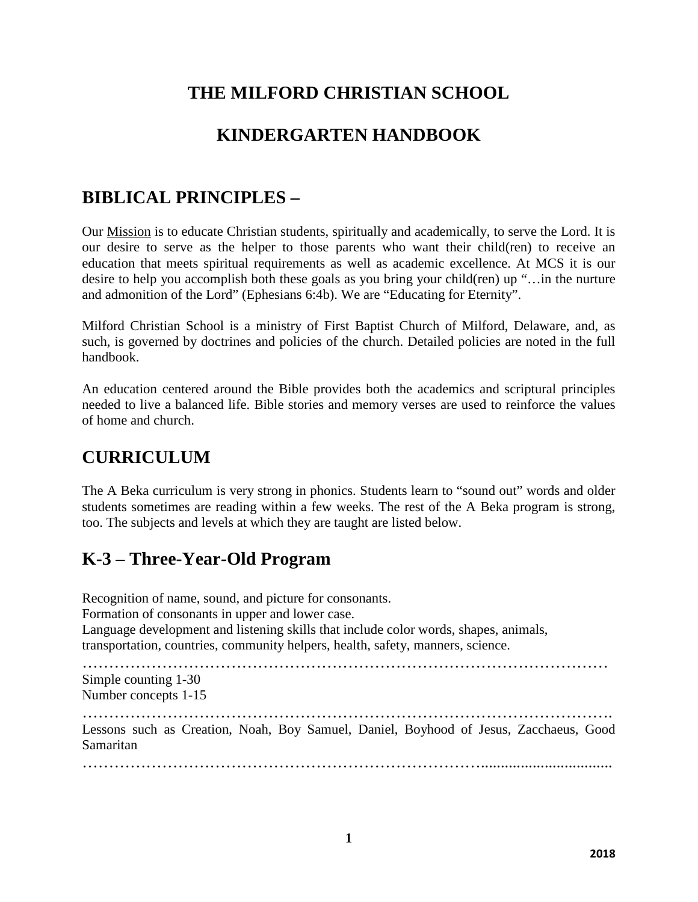# **THE MILFORD CHRISTIAN SCHOOL**

## **KINDERGARTEN HANDBOOK**

## **BIBLICAL PRINCIPLES –**

Our Mission is to educate Christian students, spiritually and academically, to serve the Lord. It is our desire to serve as the helper to those parents who want their child(ren) to receive an education that meets spiritual requirements as well as academic excellence. At MCS it is our desire to help you accomplish both these goals as you bring your child(ren) up "…in the nurture and admonition of the Lord" (Ephesians 6:4b). We are "Educating for Eternity".

Milford Christian School is a ministry of First Baptist Church of Milford, Delaware, and, as such, is governed by doctrines and policies of the church. Detailed policies are noted in the full handbook.

An education centered around the Bible provides both the academics and scriptural principles needed to live a balanced life. Bible stories and memory verses are used to reinforce the values of home and church.

## **CURRICULUM**

The A Beka curriculum is very strong in phonics. Students learn to "sound out" words and older students sometimes are reading within a few weeks. The rest of the A Beka program is strong, too. The subjects and levels at which they are taught are listed below.

# **K-3 – Three-Year-Old Program**

Recognition of name, sound, and picture for consonants. Formation of consonants in upper and lower case. Language development and listening skills that include color words, shapes, animals, transportation, countries, community helpers, health, safety, manners, science. ……………………………………………………………………………………… Simple counting 1-30 Number concepts 1-15 ………………………………………………………………………………………. Lessons such as Creation, Noah, Boy Samuel, Daniel, Boyhood of Jesus, Zacchaeus, Good Samaritan ………………………………………………………………….................................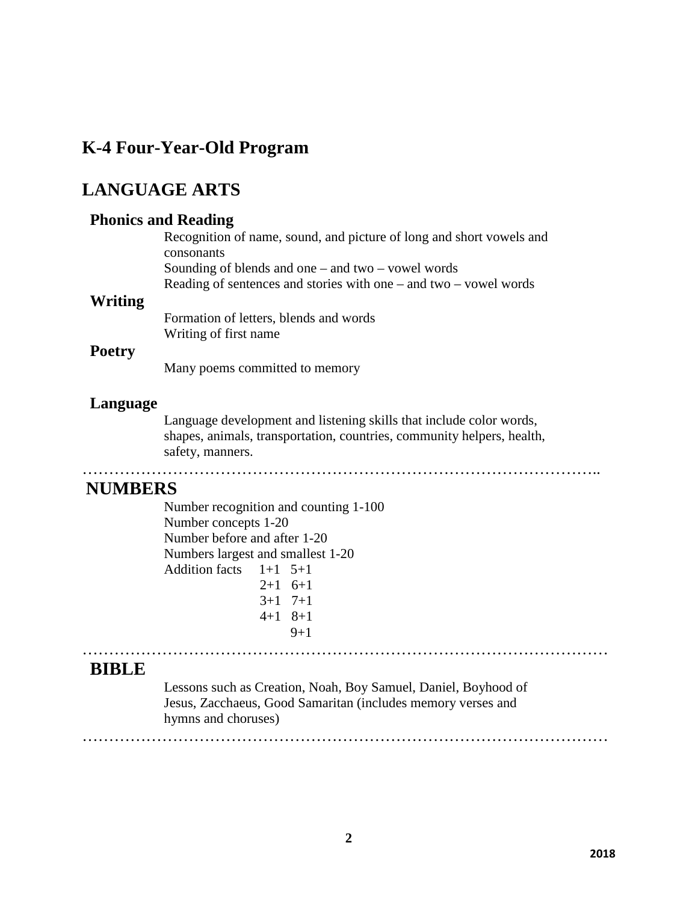## **K-4 Four-Year-Old Program**

# **LANGUAGE ARTS**

### **Phonics and Reading**

Recognition of name, sound, and picture of long and short vowels and consonants Sounding of blends and one – and two – vowel words Reading of sentences and stories with one – and two – vowel words

### **Writing**

Formation of letters, blends and words Writing of first name

### **Poetry**

Many poems committed to memory

### **Language**

Language development and listening skills that include color words, shapes, animals, transportation, countries, community helpers, health, safety, manners.

……………………………………………………………………………………..

## **NUMBERS**

Number recognition and counting 1-100 Number concepts 1-20 Number before and after 1-20 Numbers largest and smallest 1-20 Addition facts  $1+1$  5+1  $2+1$  6+1 3+1 7+1 4+1 8+1  $9+1$ 

### **BIBLE**

Lessons such as Creation, Noah, Boy Samuel, Daniel, Boyhood of Jesus, Zacchaeus, Good Samaritan (includes memory verses and hymns and choruses)

………………………………………………………………………………………

………………………………………………………………………………………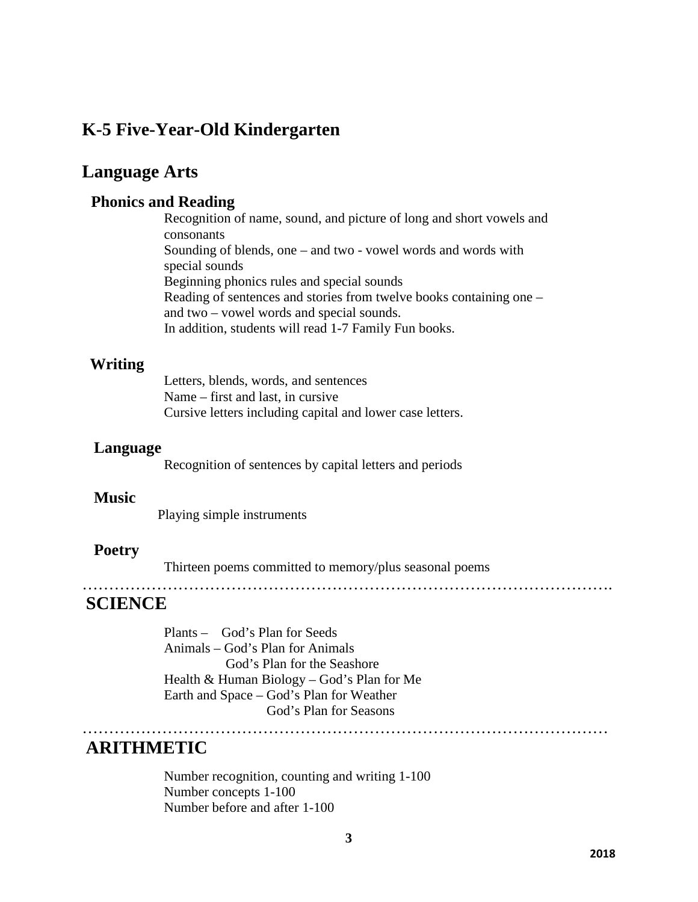## **K-5 Five-Year-Old Kindergarten**

## **Language Arts**

### **Phonics and Reading**

Recognition of name, sound, and picture of long and short vowels and consonants Sounding of blends, one – and two - vowel words and words with special sounds Beginning phonics rules and special sounds Reading of sentences and stories from twelve books containing one – and two – vowel words and special sounds. In addition, students will read 1-7 Family Fun books.

### **Writing**

Letters, blends, words, and sentences Name – first and last, in cursive Cursive letters including capital and lower case letters.

### **Language**

Recognition of sentences by capital letters and periods

### **Music**

Playing simple instruments

### **Poetry**

Thirteen poems committed to memory/plus seasonal poems

……………………………………………………………………………………….

## **SCIENCE**

Plants – God's Plan for Seeds Animals – God's Plan for Animals God's Plan for the Seashore Health & Human Biology – God's Plan for Me Earth and Space – God's Plan for Weather God's Plan for Seasons

### **ARITHMETIC**

Number recognition, counting and writing 1-100 Number concepts 1-100 Number before and after 1-100

………………………………………………………………………………………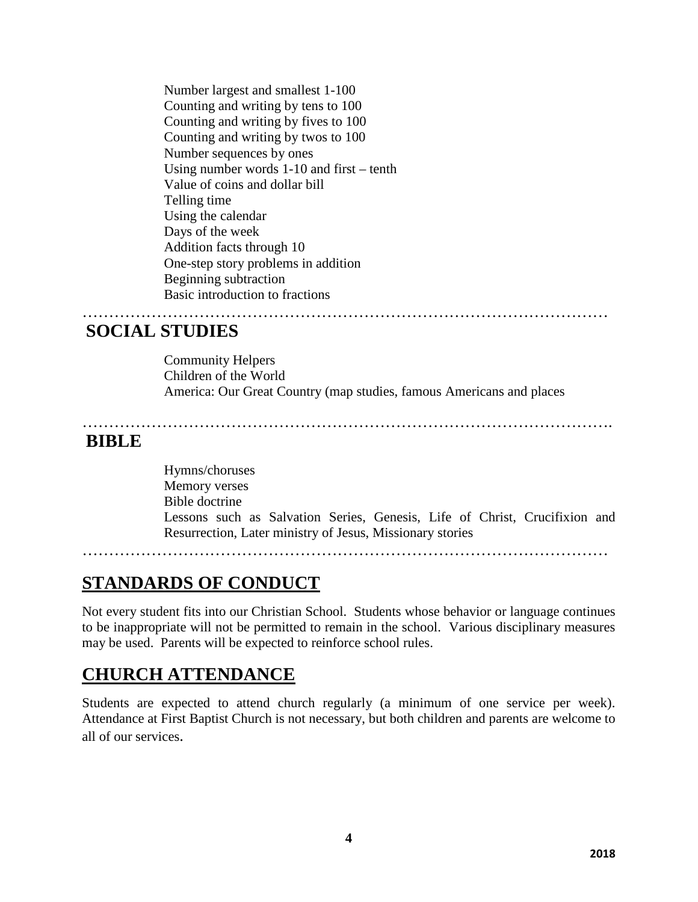Number largest and smallest 1-100 Counting and writing by tens to 100 Counting and writing by fives to 100 Counting and writing by twos to 100 Number sequences by ones Using number words 1-10 and first – tenth Value of coins and dollar bill Telling time Using the calendar Days of the week Addition facts through 10 One-step story problems in addition Beginning subtraction Basic introduction to fractions

## **SOCIAL STUDIES**

Community Helpers Children of the World America: Our Great Country (map studies, famous Americans and places

………………………………………………………………………………………

………………………………………………………………………………………. **BIBLE**

Hymns/choruses Memory verses Bible doctrine Lessons such as Salvation Series, Genesis, Life of Christ, Crucifixion and Resurrection, Later ministry of Jesus, Missionary stories

………………………………………………………………………………………

## **STANDARDS OF CONDUCT**

Not every student fits into our Christian School. Students whose behavior or language continues to be inappropriate will not be permitted to remain in the school. Various disciplinary measures may be used. Parents will be expected to reinforce school rules.

## **CHURCH ATTENDANCE**

Students are expected to attend church regularly (a minimum of one service per week). Attendance at First Baptist Church is not necessary, but both children and parents are welcome to all of our services.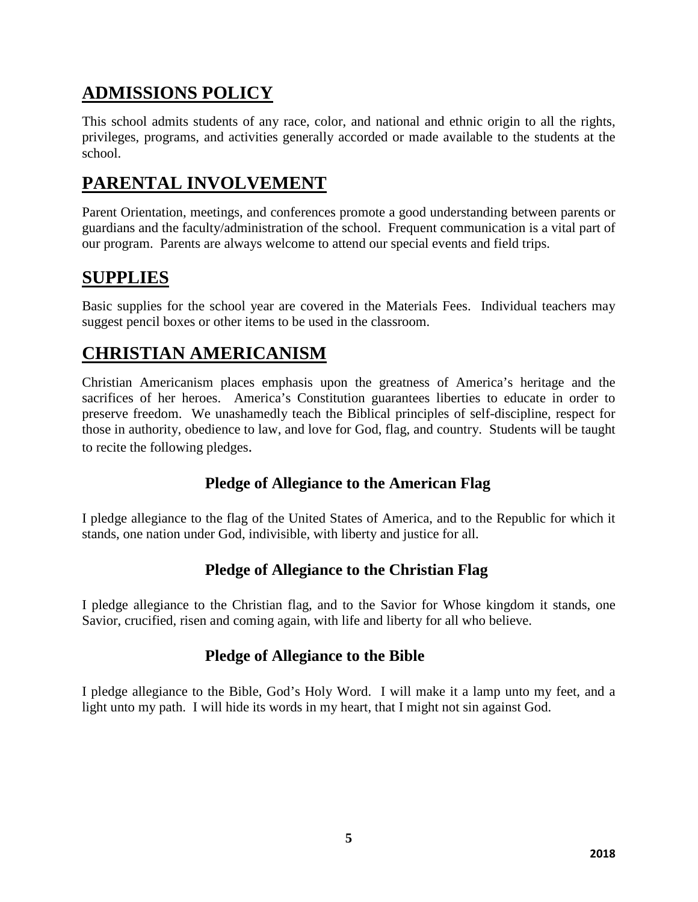# **ADMISSIONS POLICY**

This school admits students of any race, color, and national and ethnic origin to all the rights, privileges, programs, and activities generally accorded or made available to the students at the school.

# **PARENTAL INVOLVEMENT**

Parent Orientation, meetings, and conferences promote a good understanding between parents or guardians and the faculty/administration of the school. Frequent communication is a vital part of our program. Parents are always welcome to attend our special events and field trips.

# **SUPPLIES**

Basic supplies for the school year are covered in the Materials Fees. Individual teachers may suggest pencil boxes or other items to be used in the classroom.

# **CHRISTIAN AMERICANISM**

Christian Americanism places emphasis upon the greatness of America's heritage and the sacrifices of her heroes. America's Constitution guarantees liberties to educate in order to preserve freedom. We unashamedly teach the Biblical principles of self-discipline, respect for those in authority, obedience to law, and love for God, flag, and country. Students will be taught to recite the following pledges.

## **Pledge of Allegiance to the American Flag**

I pledge allegiance to the flag of the United States of America, and to the Republic for which it stands, one nation under God, indivisible, with liberty and justice for all.

## **Pledge of Allegiance to the Christian Flag**

I pledge allegiance to the Christian flag, and to the Savior for Whose kingdom it stands, one Savior, crucified, risen and coming again, with life and liberty for all who believe.

## **Pledge of Allegiance to the Bible**

I pledge allegiance to the Bible, God's Holy Word. I will make it a lamp unto my feet, and a light unto my path. I will hide its words in my heart, that I might not sin against God.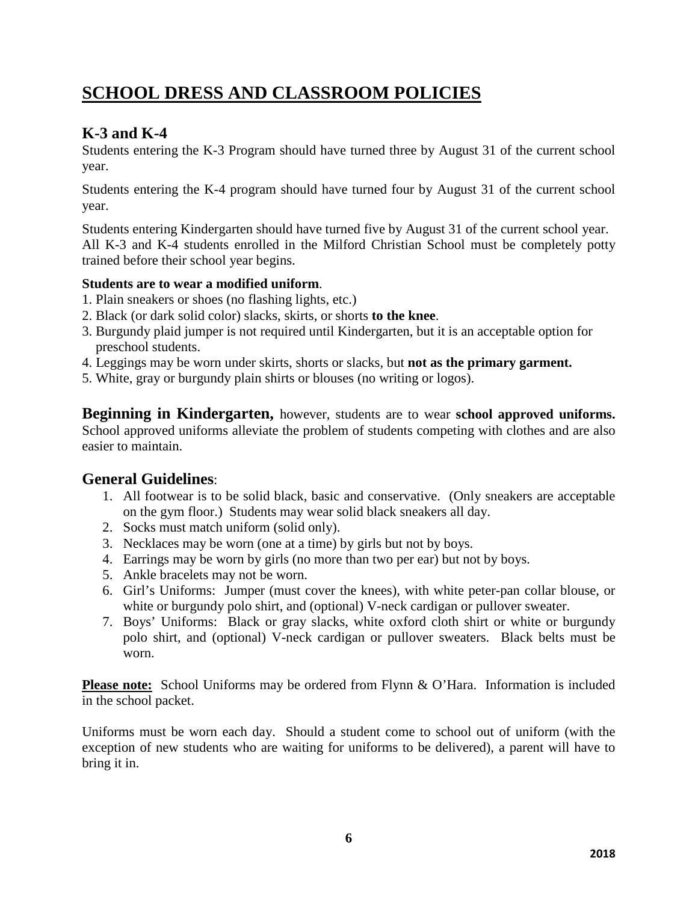# **SCHOOL DRESS AND CLASSROOM POLICIES**

## **K-3 and K-4**

Students entering the K-3 Program should have turned three by August 31 of the current school year.

Students entering the K-4 program should have turned four by August 31 of the current school year.

Students entering Kindergarten should have turned five by August 31 of the current school year. All K-3 and K-4 students enrolled in the Milford Christian School must be completely potty trained before their school year begins.

### **Students are to wear a modified uniform**.

- 1. Plain sneakers or shoes (no flashing lights, etc.)
- 2. Black (or dark solid color) slacks, skirts, or shorts **to the knee**.
- 3. Burgundy plaid jumper is not required until Kindergarten, but it is an acceptable option for preschool students.
- 4. Leggings may be worn under skirts, shorts or slacks, but **not as the primary garment.**
- 5. White, gray or burgundy plain shirts or blouses (no writing or logos).

**Beginning in Kindergarten,** however, students are to wear **school approved uniforms.** School approved uniforms alleviate the problem of students competing with clothes and are also easier to maintain.

## **General Guidelines**:

- 1. All footwear is to be solid black, basic and conservative. (Only sneakers are acceptable on the gym floor.) Students may wear solid black sneakers all day.
- 2. Socks must match uniform (solid only).
- 3. Necklaces may be worn (one at a time) by girls but not by boys.
- 4. Earrings may be worn by girls (no more than two per ear) but not by boys.
- 5. Ankle bracelets may not be worn.
- 6. Girl's Uniforms: Jumper (must cover the knees), with white peter-pan collar blouse, or white or burgundy polo shirt, and (optional) V-neck cardigan or pullover sweater.
- 7. Boys' Uniforms: Black or gray slacks, white oxford cloth shirt or white or burgundy polo shirt, and (optional) V-neck cardigan or pullover sweaters. Black belts must be worn.

**Please note:** School Uniforms may be ordered from Flynn & O'Hara. Information is included in the school packet.

Uniforms must be worn each day. Should a student come to school out of uniform (with the exception of new students who are waiting for uniforms to be delivered), a parent will have to bring it in.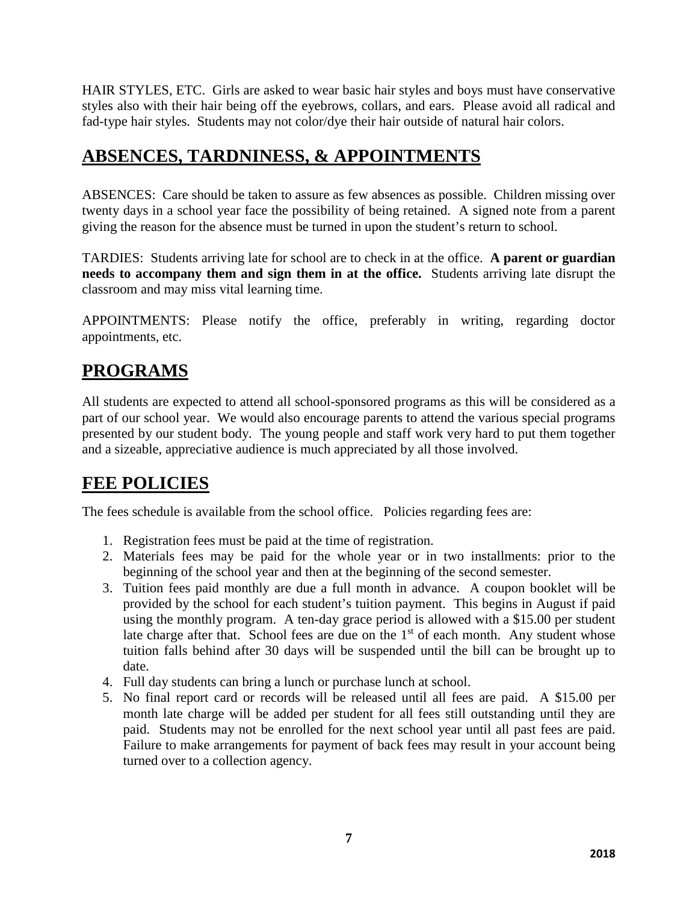HAIR STYLES, ETC. Girls are asked to wear basic hair styles and boys must have conservative styles also with their hair being off the eyebrows, collars, and ears. Please avoid all radical and fad-type hair styles. Students may not color/dye their hair outside of natural hair colors.

# **ABSENCES, TARDNINESS, & APPOINTMENTS**

ABSENCES: Care should be taken to assure as few absences as possible. Children missing over twenty days in a school year face the possibility of being retained. A signed note from a parent giving the reason for the absence must be turned in upon the student's return to school.

TARDIES: Students arriving late for school are to check in at the office. **A parent or guardian needs to accompany them and sign them in at the office.** Students arriving late disrupt the classroom and may miss vital learning time.

APPOINTMENTS: Please notify the office, preferably in writing, regarding doctor appointments, etc.

# **PROGRAMS**

All students are expected to attend all school-sponsored programs as this will be considered as a part of our school year. We would also encourage parents to attend the various special programs presented by our student body. The young people and staff work very hard to put them together and a sizeable, appreciative audience is much appreciated by all those involved.

# **FEE POLICIES**

The fees schedule is available from the school office. Policies regarding fees are:

- 1. Registration fees must be paid at the time of registration.
- 2. Materials fees may be paid for the whole year or in two installments: prior to the beginning of the school year and then at the beginning of the second semester.
- 3. Tuition fees paid monthly are due a full month in advance. A coupon booklet will be provided by the school for each student's tuition payment. This begins in August if paid using the monthly program. A ten-day grace period is allowed with a \$15.00 per student late charge after that. School fees are due on the  $1<sup>st</sup>$  of each month. Any student whose tuition falls behind after 30 days will be suspended until the bill can be brought up to date.
- 4. Full day students can bring a lunch or purchase lunch at school.
- 5. No final report card or records will be released until all fees are paid. A \$15.00 per month late charge will be added per student for all fees still outstanding until they are paid. Students may not be enrolled for the next school year until all past fees are paid. Failure to make arrangements for payment of back fees may result in your account being turned over to a collection agency.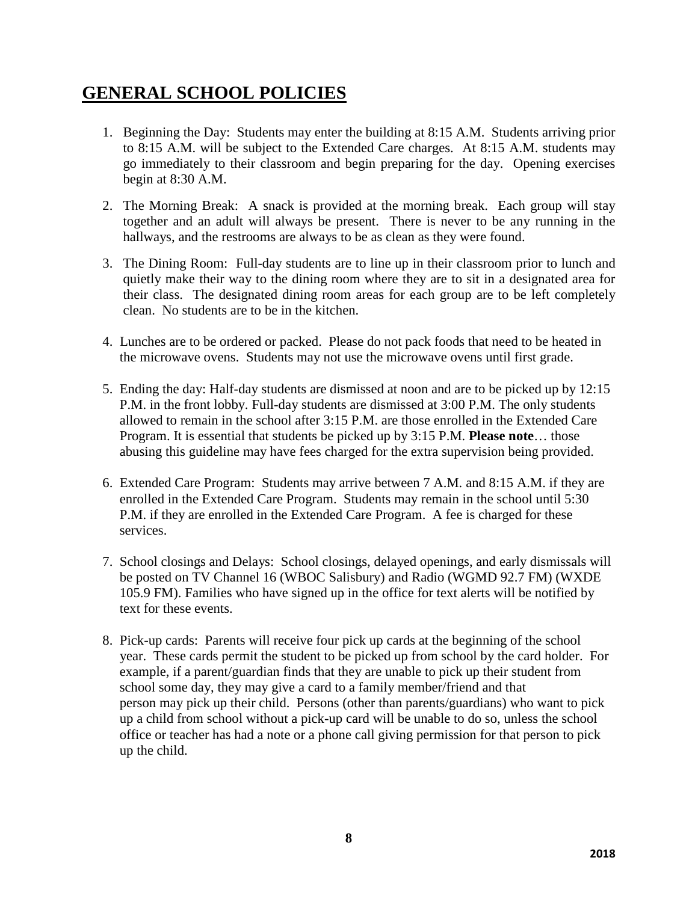# **GENERAL SCHOOL POLICIES**

- 1. Beginning the Day: Students may enter the building at 8:15 A.M. Students arriving prior to 8:15 A.M. will be subject to the Extended Care charges. At 8:15 A.M. students may go immediately to their classroom and begin preparing for the day. Opening exercises begin at 8:30 A.M.
- 2. The Morning Break: A snack is provided at the morning break. Each group will stay together and an adult will always be present. There is never to be any running in the hallways, and the restrooms are always to be as clean as they were found.
- 3. The Dining Room: Full-day students are to line up in their classroom prior to lunch and quietly make their way to the dining room where they are to sit in a designated area for their class. The designated dining room areas for each group are to be left completely clean. No students are to be in the kitchen.
- 4. Lunches are to be ordered or packed. Please do not pack foods that need to be heated in the microwave ovens. Students may not use the microwave ovens until first grade.
- 5. Ending the day: Half-day students are dismissed at noon and are to be picked up by 12:15 P.M. in the front lobby. Full-day students are dismissed at 3:00 P.M. The only students allowed to remain in the school after 3:15 P.M. are those enrolled in the Extended Care Program. It is essential that students be picked up by 3:15 P.M. **Please note**… those abusing this guideline may have fees charged for the extra supervision being provided.
- 6. Extended Care Program: Students may arrive between 7 A.M. and 8:15 A.M. if they are enrolled in the Extended Care Program. Students may remain in the school until 5:30 P.M. if they are enrolled in the Extended Care Program. A fee is charged for these services.
- 7. School closings and Delays: School closings, delayed openings, and early dismissals will be posted on TV Channel 16 (WBOC Salisbury) and Radio (WGMD 92.7 FM) (WXDE 105.9 FM). Families who have signed up in the office for text alerts will be notified by text for these events.
- 8. Pick-up cards: Parents will receive four pick up cards at the beginning of the school year. These cards permit the student to be picked up from school by the card holder. For example, if a parent/guardian finds that they are unable to pick up their student from school some day, they may give a card to a family member/friend and that person may pick up their child. Persons (other than parents/guardians) who want to pick up a child from school without a pick-up card will be unable to do so, unless the school office or teacher has had a note or a phone call giving permission for that person to pick up the child.